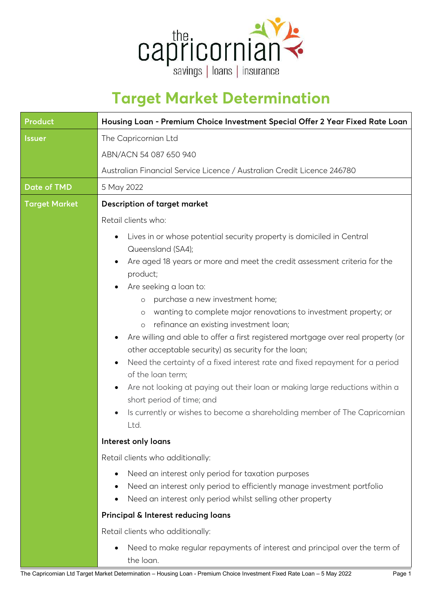

## **Target Market Determination**

| <b>Product</b>       | Housing Loan - Premium Choice Investment Special Offer 2 Year Fixed Rate Loan                                                    |
|----------------------|----------------------------------------------------------------------------------------------------------------------------------|
| <b>Issuer</b>        | The Capricornian Ltd                                                                                                             |
|                      | ABN/ACN 54 087 650 940                                                                                                           |
|                      | Australian Financial Service Licence / Australian Credit Licence 246780                                                          |
| <b>Date of TMD</b>   | 5 May 2022                                                                                                                       |
| <b>Target Market</b> | <b>Description of target market</b>                                                                                              |
|                      | Retail clients who:                                                                                                              |
|                      | Lives in or whose potential security property is domiciled in Central<br>٠<br>Queensland (SA4);                                  |
|                      | Are aged 18 years or more and meet the credit assessment criteria for the<br>product;                                            |
|                      | Are seeking a loan to:                                                                                                           |
|                      | purchase a new investment home;<br>$\circ$                                                                                       |
|                      | wanting to complete major renovations to investment property; or<br>$\circ$<br>refinance an existing investment loan;<br>$\circ$ |
|                      | Are willing and able to offer a first registered mortgage over real property (or<br>٠                                            |
|                      | other acceptable security) as security for the loan;                                                                             |
|                      | Need the certainty of a fixed interest rate and fixed repayment for a period<br>٠<br>of the loan term;                           |
|                      | Are not looking at paying out their loan or making large reductions within a<br>$\bullet$<br>short period of time; and           |
|                      | Is currently or wishes to become a shareholding member of The Capricornian<br>$\bullet$<br>Ltd.                                  |
|                      | Interest only loans                                                                                                              |
|                      | Retail clients who additionally:                                                                                                 |
|                      | Need an interest only period for taxation purposes<br>$\bullet$                                                                  |
|                      | Need an interest only period to efficiently manage investment portfolio<br>٠                                                     |
|                      | Need an interest only period whilst selling other property<br>$\bullet$                                                          |
|                      | Principal & Interest reducing loans                                                                                              |
|                      | Retail clients who additionally:                                                                                                 |
|                      | Need to make regular repayments of interest and principal over the term of<br>$\bullet$                                          |

the loan.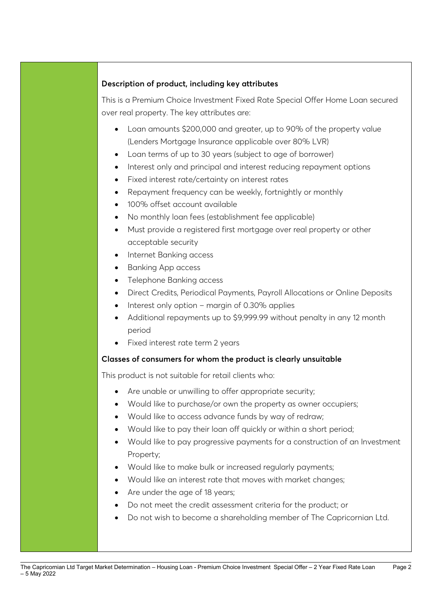## **Description of product, including key attributes**

This is a Premium Choice Investment Fixed Rate Special Offer Home Loan secured over real property. The key attributes are:

- Loan amounts \$200,000 and greater, up to 90% of the property value (Lenders Mortgage Insurance applicable over 80% LVR)
- Loan terms of up to 30 years (subject to age of borrower)
- Interest only and principal and interest reducing repayment options
- Fixed interest rate/certainty on interest rates
- Repayment frequency can be weekly, fortnightly or monthly
- 100% offset account available
- No monthly loan fees (establishment fee applicable)
- Must provide a registered first mortgage over real property or other acceptable security
- Internet Banking access
- Banking App access
- Telephone Banking access
- Direct Credits, Periodical Payments, Payroll Allocations or Online Deposits
- Interest only option margin of 0.30% applies
- Additional repayments up to \$9,999.99 without penalty in any 12 month period
- Fixed interest rate term 2 years

## **Classes of consumers for whom the product is clearly unsuitable**

This product is not suitable for retail clients who:

- Are unable or unwilling to offer appropriate security;
- Would like to purchase/or own the property as owner occupiers;
- Would like to access advance funds by way of redraw;
- Would like to pay their loan off quickly or within a short period;
- Would like to pay progressive payments for a construction of an Investment Property;
- Would like to make bulk or increased regularly payments;
- Would like an interest rate that moves with market changes;
- Are under the age of 18 years;
- Do not meet the credit assessment criteria for the product; or
- Do not wish to become a shareholding member of The Capricornian Ltd.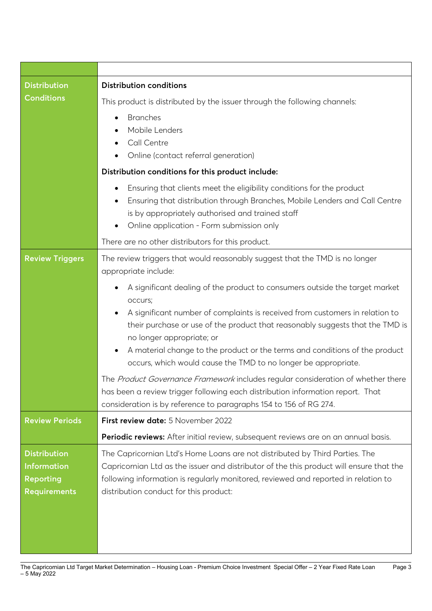| <b>Distribution</b>                                                                  | <b>Distribution conditions</b>                                                                                                                                                                                                                                                                                                                                                                                                                                                                                                                                                                                                                                                                                                                                                                            |
|--------------------------------------------------------------------------------------|-----------------------------------------------------------------------------------------------------------------------------------------------------------------------------------------------------------------------------------------------------------------------------------------------------------------------------------------------------------------------------------------------------------------------------------------------------------------------------------------------------------------------------------------------------------------------------------------------------------------------------------------------------------------------------------------------------------------------------------------------------------------------------------------------------------|
| <b>Conditions</b>                                                                    | This product is distributed by the issuer through the following channels:                                                                                                                                                                                                                                                                                                                                                                                                                                                                                                                                                                                                                                                                                                                                 |
|                                                                                      | <b>Branches</b><br>Mobile Lenders<br>Call Centre<br>Online (contact referral generation)                                                                                                                                                                                                                                                                                                                                                                                                                                                                                                                                                                                                                                                                                                                  |
|                                                                                      | Distribution conditions for this product include:                                                                                                                                                                                                                                                                                                                                                                                                                                                                                                                                                                                                                                                                                                                                                         |
|                                                                                      | Ensuring that clients meet the eligibility conditions for the product<br>$\bullet$<br>Ensuring that distribution through Branches, Mobile Lenders and Call Centre<br>is by appropriately authorised and trained staff<br>Online application - Form submission only<br>٠                                                                                                                                                                                                                                                                                                                                                                                                                                                                                                                                   |
|                                                                                      | There are no other distributors for this product.                                                                                                                                                                                                                                                                                                                                                                                                                                                                                                                                                                                                                                                                                                                                                         |
| <b>Review Triggers</b>                                                               | The review triggers that would reasonably suggest that the TMD is no longer<br>appropriate include:<br>A significant dealing of the product to consumers outside the target market<br>occurs;<br>A significant number of complaints is received from customers in relation to<br>$\bullet$<br>their purchase or use of the product that reasonably suggests that the TMD is<br>no longer appropriate; or<br>A material change to the product or the terms and conditions of the product<br>٠<br>occurs, which would cause the TMD to no longer be appropriate.<br>The Product Governance Framework includes regular consideration of whether there<br>has been a review trigger following each distribution information report. That<br>consideration is by reference to paragraphs 154 to 156 of RG 274. |
| <b>Review Periods</b>                                                                | First review date: 5 November 2022                                                                                                                                                                                                                                                                                                                                                                                                                                                                                                                                                                                                                                                                                                                                                                        |
|                                                                                      | Periodic reviews: After initial review, subsequent reviews are on an annual basis.                                                                                                                                                                                                                                                                                                                                                                                                                                                                                                                                                                                                                                                                                                                        |
| <b>Distribution</b><br><b>Information</b><br><b>Reporting</b><br><b>Requirements</b> | The Capricornian Ltd's Home Loans are not distributed by Third Parties. The<br>Capricornian Ltd as the issuer and distributor of the this product will ensure that the<br>following information is regularly monitored, reviewed and reported in relation to<br>distribution conduct for this product:                                                                                                                                                                                                                                                                                                                                                                                                                                                                                                    |